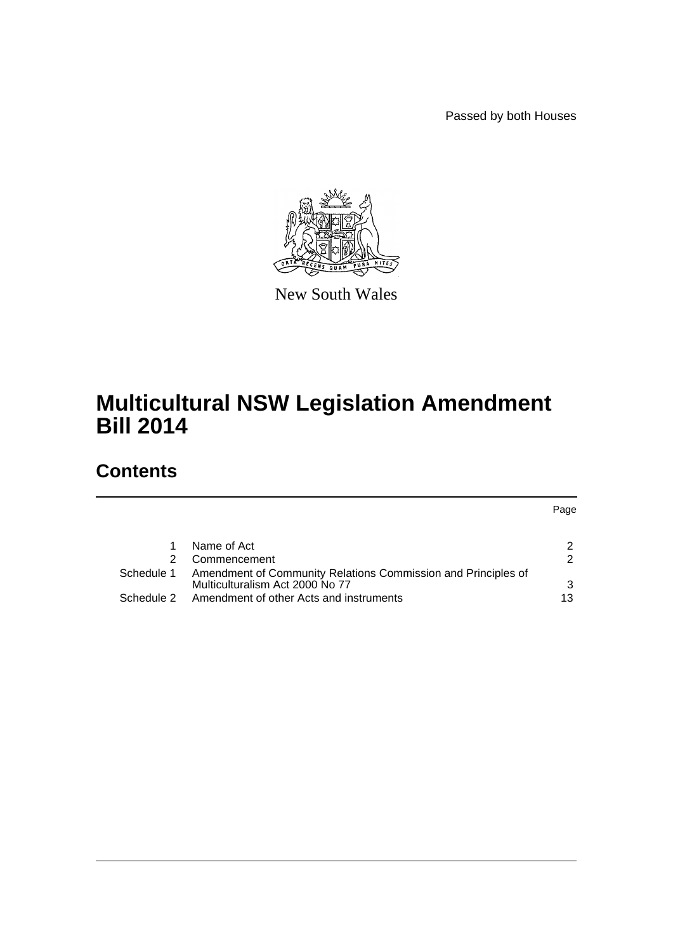Passed by both Houses

Page



New South Wales

# **Multicultural NSW Legislation Amendment Bill 2014**

# **Contents**

|            | Name of Act                                                                                      |    |
|------------|--------------------------------------------------------------------------------------------------|----|
|            | Commencement                                                                                     | 2  |
| Schedule 1 | Amendment of Community Relations Commission and Principles of<br>Multiculturalism Act 2000 No 77 | 3  |
| Schedule 2 | Amendment of other Acts and instruments                                                          | 13 |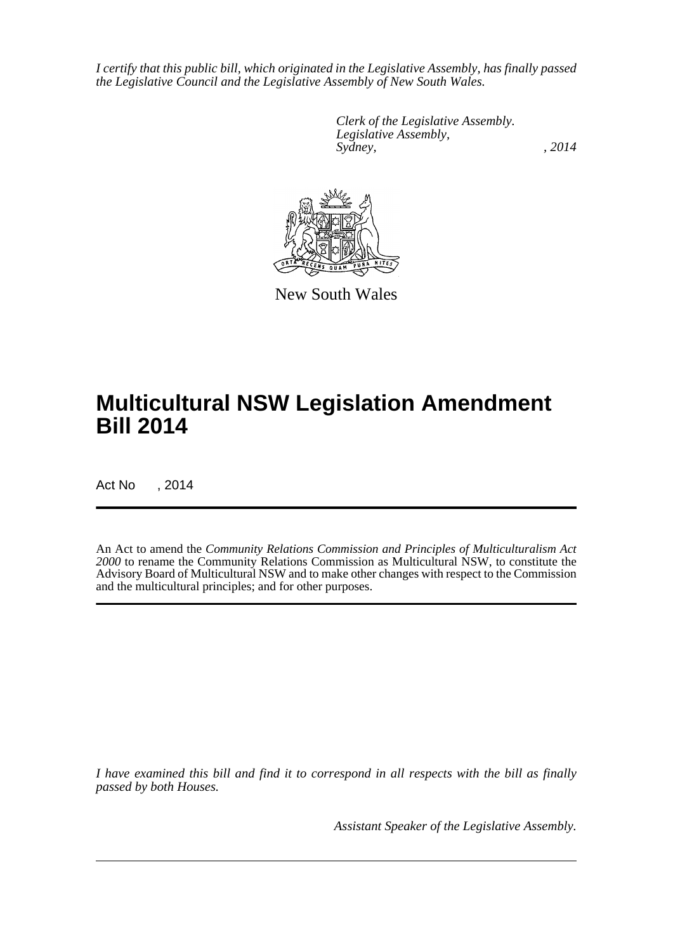*I certify that this public bill, which originated in the Legislative Assembly, has finally passed the Legislative Council and the Legislative Assembly of New South Wales.*

> *Clerk of the Legislative Assembly. Legislative Assembly, Sydney,* , 2014



New South Wales

# **Multicultural NSW Legislation Amendment Bill 2014**

Act No , 2014

An Act to amend the *Community Relations Commission and Principles of Multiculturalism Act 2000* to rename the Community Relations Commission as Multicultural NSW, to constitute the Advisory Board of Multicultural NSW and to make other changes with respect to the Commission and the multicultural principles; and for other purposes.

*I have examined this bill and find it to correspond in all respects with the bill as finally passed by both Houses.*

*Assistant Speaker of the Legislative Assembly.*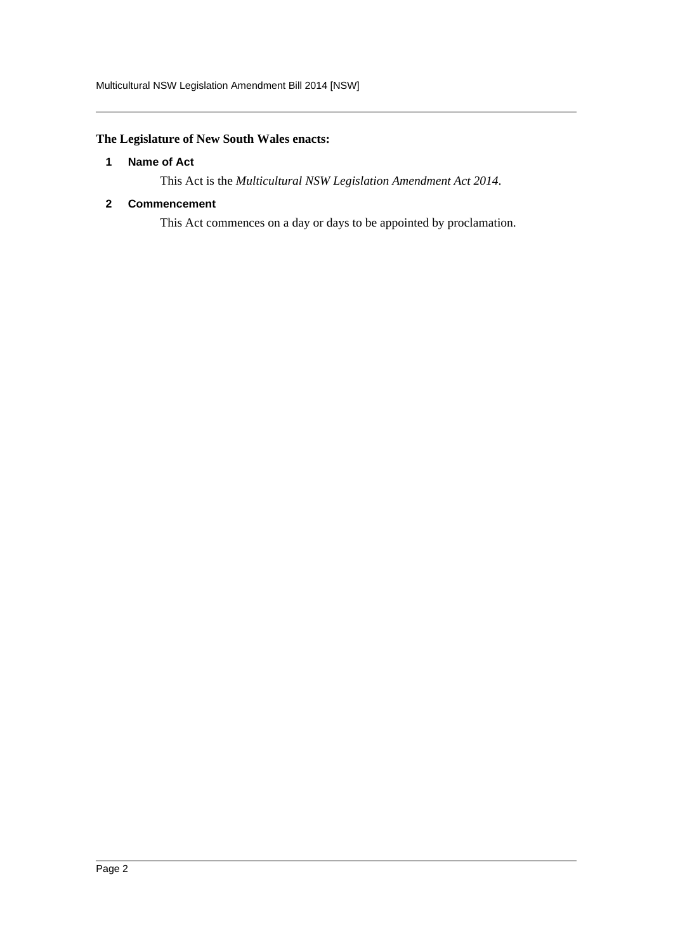# <span id="page-2-0"></span>**The Legislature of New South Wales enacts:**

## **1 Name of Act**

This Act is the *Multicultural NSW Legislation Amendment Act 2014*.

# <span id="page-2-1"></span>**2 Commencement**

This Act commences on a day or days to be appointed by proclamation.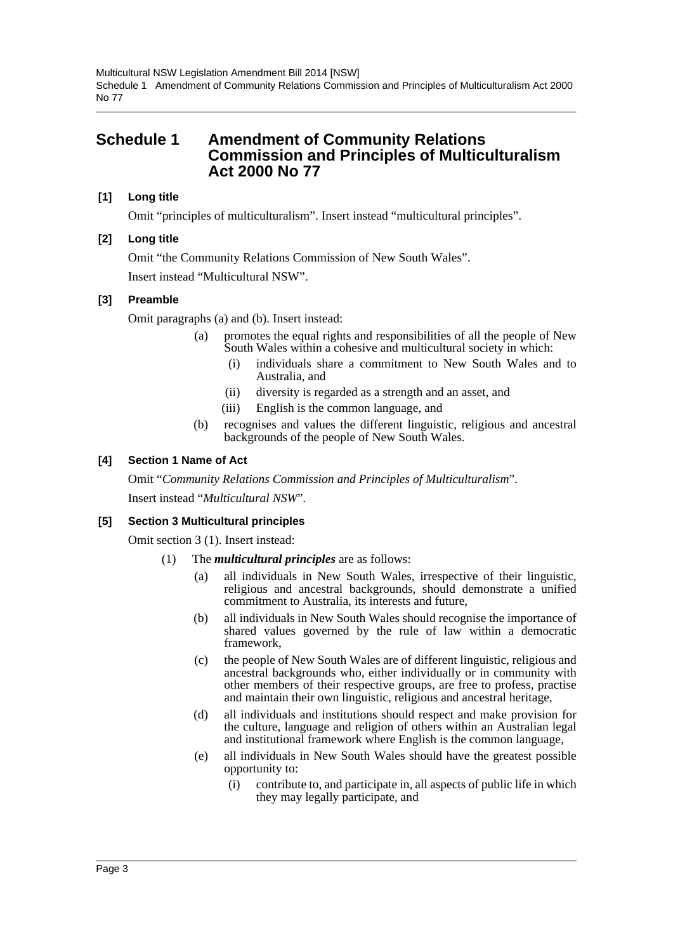# <span id="page-3-0"></span>**Schedule 1 Amendment of Community Relations Commission and Principles of Multiculturalism Act 2000 No 77**

# **[1] Long title**

Omit "principles of multiculturalism". Insert instead "multicultural principles".

# **[2] Long title**

Omit "the Community Relations Commission of New South Wales".

Insert instead "Multicultural NSW".

# **[3] Preamble**

Omit paragraphs (a) and (b). Insert instead:

- (a) promotes the equal rights and responsibilities of all the people of New South Wales within a cohesive and multicultural society in which:
	- (i) individuals share a commitment to New South Wales and to Australia, and
	- (ii) diversity is regarded as a strength and an asset, and
	- (iii) English is the common language, and
- (b) recognises and values the different linguistic, religious and ancestral backgrounds of the people of New South Wales.

# **[4] Section 1 Name of Act**

Omit "*Community Relations Commission and Principles of Multiculturalism*". Insert instead "*Multicultural NSW*".

# **[5] Section 3 Multicultural principles**

Omit section 3 (1). Insert instead:

- (1) The *multicultural principles* are as follows:
	- (a) all individuals in New South Wales, irrespective of their linguistic, religious and ancestral backgrounds, should demonstrate a unified commitment to Australia, its interests and future,
	- (b) all individuals in New South Wales should recognise the importance of shared values governed by the rule of law within a democratic framework,
	- (c) the people of New South Wales are of different linguistic, religious and ancestral backgrounds who, either individually or in community with other members of their respective groups, are free to profess, practise and maintain their own linguistic, religious and ancestral heritage,
	- (d) all individuals and institutions should respect and make provision for the culture, language and religion of others within an Australian legal and institutional framework where English is the common language,
	- (e) all individuals in New South Wales should have the greatest possible opportunity to:
		- (i) contribute to, and participate in, all aspects of public life in which they may legally participate, and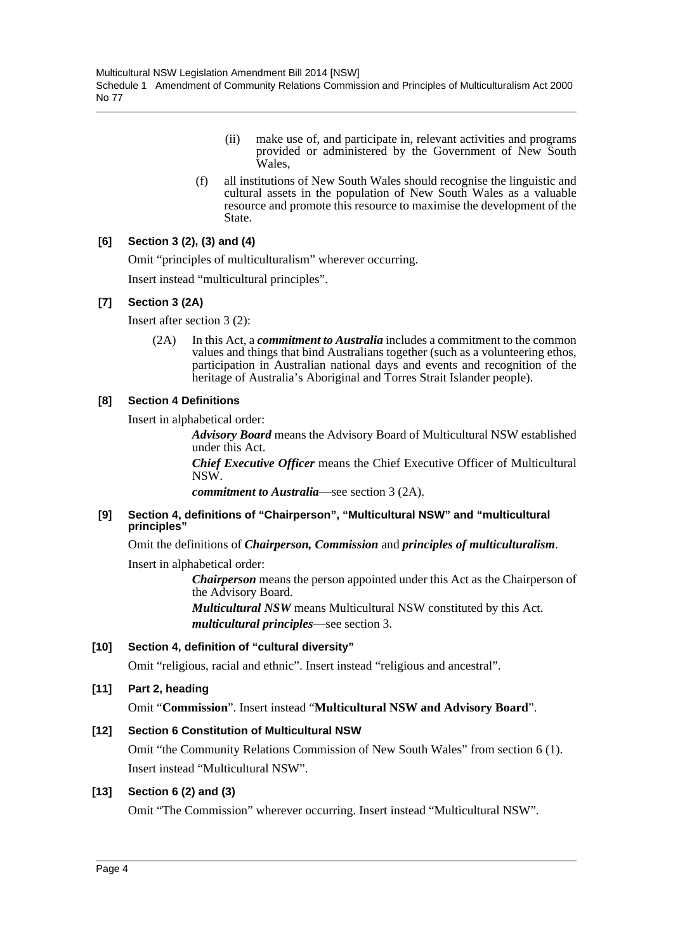- (ii) make use of, and participate in, relevant activities and programs provided or administered by the Government of New South Wales,
- (f) all institutions of New South Wales should recognise the linguistic and cultural assets in the population of New South Wales as a valuable resource and promote this resource to maximise the development of the State.

# **[6] Section 3 (2), (3) and (4)**

Omit "principles of multiculturalism" wherever occurring.

Insert instead "multicultural principles".

# **[7] Section 3 (2A)**

Insert after section 3 (2):

(2A) In this Act, a *commitment to Australia* includes a commitment to the common values and things that bind Australians together (such as a volunteering ethos, participation in Australian national days and events and recognition of the heritage of Australia's Aboriginal and Torres Strait Islander people).

# **[8] Section 4 Definitions**

Insert in alphabetical order:

*Advisory Board* means the Advisory Board of Multicultural NSW established under this Act.

*Chief Executive Officer* means the Chief Executive Officer of Multicultural NSW.

*commitment to Australia*—see section 3 (2A).

#### **[9] Section 4, definitions of "Chairperson", "Multicultural NSW" and "multicultural principles"**

Omit the definitions of *Chairperson, Commission* and *principles of multiculturalism*.

Insert in alphabetical order:

*Chairperson* means the person appointed under this Act as the Chairperson of the Advisory Board.

*Multicultural NSW* means Multicultural NSW constituted by this Act. *multicultural principles*—see section 3.

# **[10] Section 4, definition of "cultural diversity"**

Omit "religious, racial and ethnic". Insert instead "religious and ancestral".

# **[11] Part 2, heading**

Omit "**Commission**". Insert instead "**Multicultural NSW and Advisory Board**".

# **[12] Section 6 Constitution of Multicultural NSW**

Omit "the Community Relations Commission of New South Wales" from section 6 (1). Insert instead "Multicultural NSW".

# **[13] Section 6 (2) and (3)**

Omit "The Commission" wherever occurring. Insert instead "Multicultural NSW".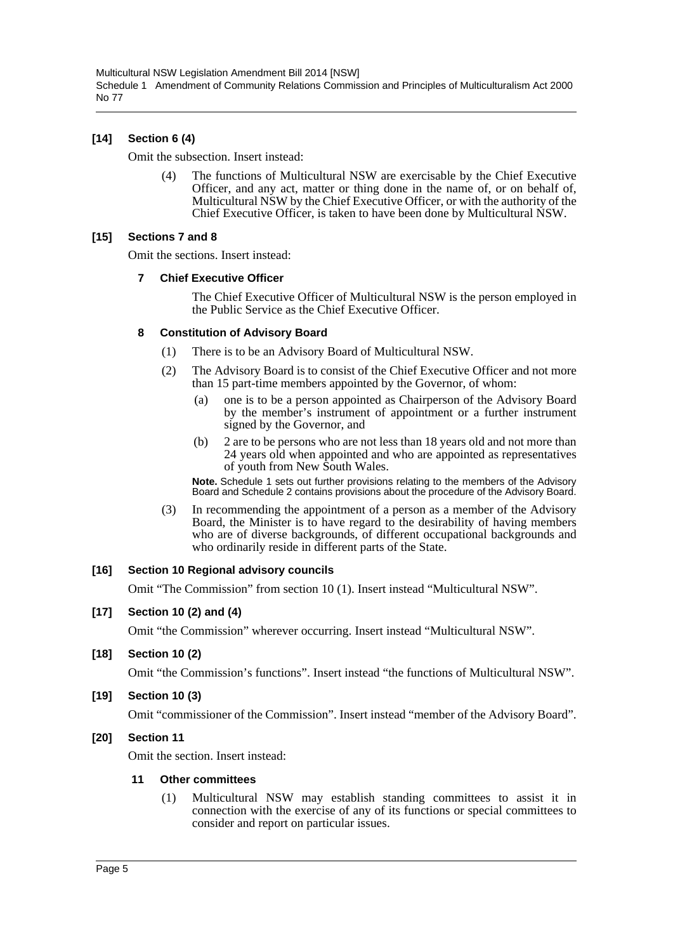# **[14] Section 6 (4)**

Omit the subsection. Insert instead:

(4) The functions of Multicultural NSW are exercisable by the Chief Executive Officer, and any act, matter or thing done in the name of, or on behalf of, Multicultural NSW by the Chief Executive Officer, or with the authority of the Chief Executive Officer, is taken to have been done by Multicultural NSW.

## **[15] Sections 7 and 8**

Omit the sections. Insert instead:

#### **7 Chief Executive Officer**

The Chief Executive Officer of Multicultural NSW is the person employed in the Public Service as the Chief Executive Officer.

## **8 Constitution of Advisory Board**

- (1) There is to be an Advisory Board of Multicultural NSW.
- (2) The Advisory Board is to consist of the Chief Executive Officer and not more than 15 part-time members appointed by the Governor, of whom:
	- (a) one is to be a person appointed as Chairperson of the Advisory Board by the member's instrument of appointment or a further instrument signed by the Governor, and
	- (b) 2 are to be persons who are not less than 18 years old and not more than 24 years old when appointed and who are appointed as representatives of youth from New South Wales.

**Note.** Schedule 1 sets out further provisions relating to the members of the Advisory Board and Schedule 2 contains provisions about the procedure of the Advisory Board.

(3) In recommending the appointment of a person as a member of the Advisory Board, the Minister is to have regard to the desirability of having members who are of diverse backgrounds, of different occupational backgrounds and who ordinarily reside in different parts of the State.

#### **[16] Section 10 Regional advisory councils**

Omit "The Commission" from section 10 (1). Insert instead "Multicultural NSW".

#### **[17] Section 10 (2) and (4)**

Omit "the Commission" wherever occurring. Insert instead "Multicultural NSW".

#### **[18] Section 10 (2)**

Omit "the Commission's functions". Insert instead "the functions of Multicultural NSW".

**[19] Section 10 (3)**

Omit "commissioner of the Commission". Insert instead "member of the Advisory Board".

#### **[20] Section 11**

Omit the section. Insert instead:

#### **11 Other committees**

(1) Multicultural NSW may establish standing committees to assist it in connection with the exercise of any of its functions or special committees to consider and report on particular issues.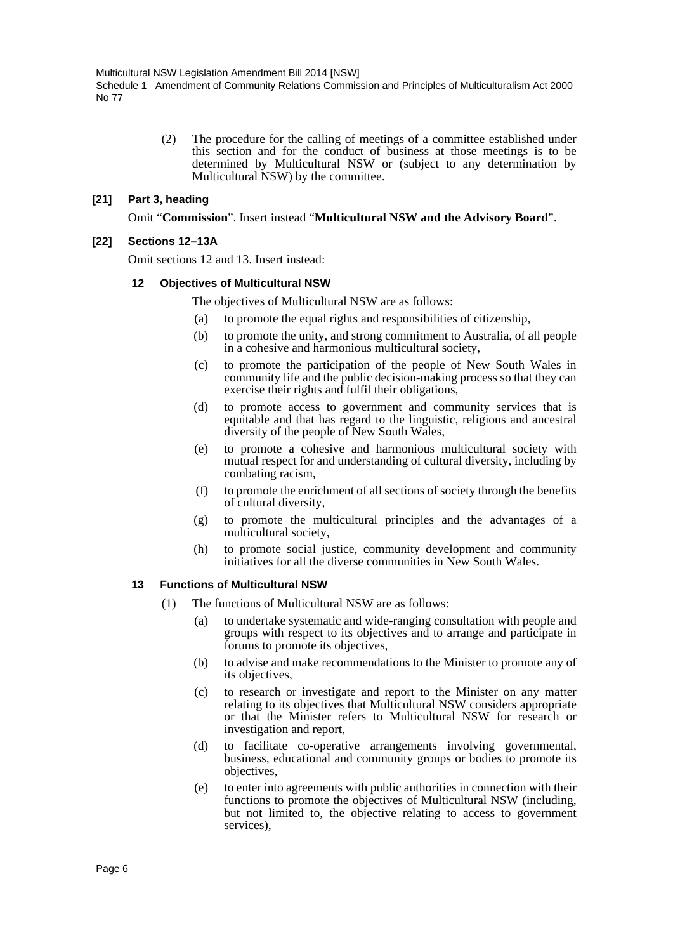(2) The procedure for the calling of meetings of a committee established under this section and for the conduct of business at those meetings is to be determined by Multicultural NSW or (subject to any determination by Multicultural NSW) by the committee.

## **[21] Part 3, heading**

Omit "**Commission**". Insert instead "**Multicultural NSW and the Advisory Board**".

## **[22] Sections 12–13A**

Omit sections 12 and 13. Insert instead:

#### **12 Objectives of Multicultural NSW**

The objectives of Multicultural NSW are as follows:

- (a) to promote the equal rights and responsibilities of citizenship,
- (b) to promote the unity, and strong commitment to Australia, of all people in a cohesive and harmonious multicultural society,
- (c) to promote the participation of the people of New South Wales in community life and the public decision-making process so that they can exercise their rights and fulfil their obligations,
- (d) to promote access to government and community services that is equitable and that has regard to the linguistic, religious and ancestral diversity of the people of New South Wales,
- (e) to promote a cohesive and harmonious multicultural society with mutual respect for and understanding of cultural diversity, including by combating racism,
- (f) to promote the enrichment of all sections of society through the benefits of cultural diversity,
- (g) to promote the multicultural principles and the advantages of a multicultural society,
- (h) to promote social justice, community development and community initiatives for all the diverse communities in New South Wales.

#### **13 Functions of Multicultural NSW**

- (1) The functions of Multicultural NSW are as follows:
	- (a) to undertake systematic and wide-ranging consultation with people and groups with respect to its objectives and to arrange and participate in forums to promote its objectives,
	- (b) to advise and make recommendations to the Minister to promote any of its objectives,
	- (c) to research or investigate and report to the Minister on any matter relating to its objectives that Multicultural NSW considers appropriate or that the Minister refers to Multicultural NSW for research or investigation and report,
	- (d) to facilitate co-operative arrangements involving governmental, business, educational and community groups or bodies to promote its objectives,
	- (e) to enter into agreements with public authorities in connection with their functions to promote the objectives of Multicultural NSW (including, but not limited to, the objective relating to access to government services),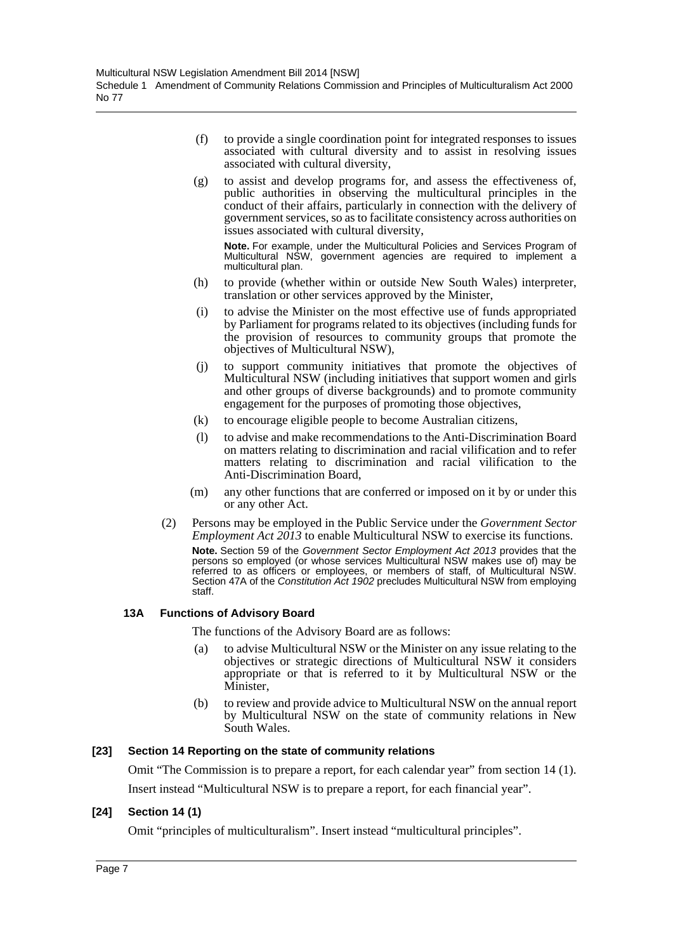- (f) to provide a single coordination point for integrated responses to issues associated with cultural diversity and to assist in resolving issues associated with cultural diversity,
- (g) to assist and develop programs for, and assess the effectiveness of, public authorities in observing the multicultural principles in the conduct of their affairs, particularly in connection with the delivery of government services, so as to facilitate consistency across authorities on issues associated with cultural diversity,

**Note.** For example, under the Multicultural Policies and Services Program of Multicultural NSW, government agencies are required to implement a multicultural plan.

- (h) to provide (whether within or outside New South Wales) interpreter, translation or other services approved by the Minister,
- (i) to advise the Minister on the most effective use of funds appropriated by Parliament for programs related to its objectives (including funds for the provision of resources to community groups that promote the objectives of Multicultural NSW),
- (j) to support community initiatives that promote the objectives of Multicultural NSW (including initiatives that support women and girls and other groups of diverse backgrounds) and to promote community engagement for the purposes of promoting those objectives,
- (k) to encourage eligible people to become Australian citizens,
- (l) to advise and make recommendations to the Anti-Discrimination Board on matters relating to discrimination and racial vilification and to refer matters relating to discrimination and racial vilification to the Anti-Discrimination Board,
- (m) any other functions that are conferred or imposed on it by or under this or any other Act.
- (2) Persons may be employed in the Public Service under the *Government Sector Employment Act 2013* to enable Multicultural NSW to exercise its functions. **Note.** Section 59 of the *Government Sector Employment Act 2013* provides that the persons so employed (or whose services Multicultural NSW makes use of) may be referred to as officers or employees, or members of staff, of Multicultural NSW. Section 47A of the *Constitution Act 1902* precludes Multicultural NSW from employing staff.

#### **13A Functions of Advisory Board**

The functions of the Advisory Board are as follows:

- (a) to advise Multicultural NSW or the Minister on any issue relating to the objectives or strategic directions of Multicultural NSW it considers appropriate or that is referred to it by Multicultural NSW or the Minister.
- (b) to review and provide advice to Multicultural NSW on the annual report by Multicultural NSW on the state of community relations in New South Wales.

#### **[23] Section 14 Reporting on the state of community relations**

Omit "The Commission is to prepare a report, for each calendar year" from section 14 (1).

Insert instead "Multicultural NSW is to prepare a report, for each financial year".

# **[24] Section 14 (1)**

Omit "principles of multiculturalism". Insert instead "multicultural principles".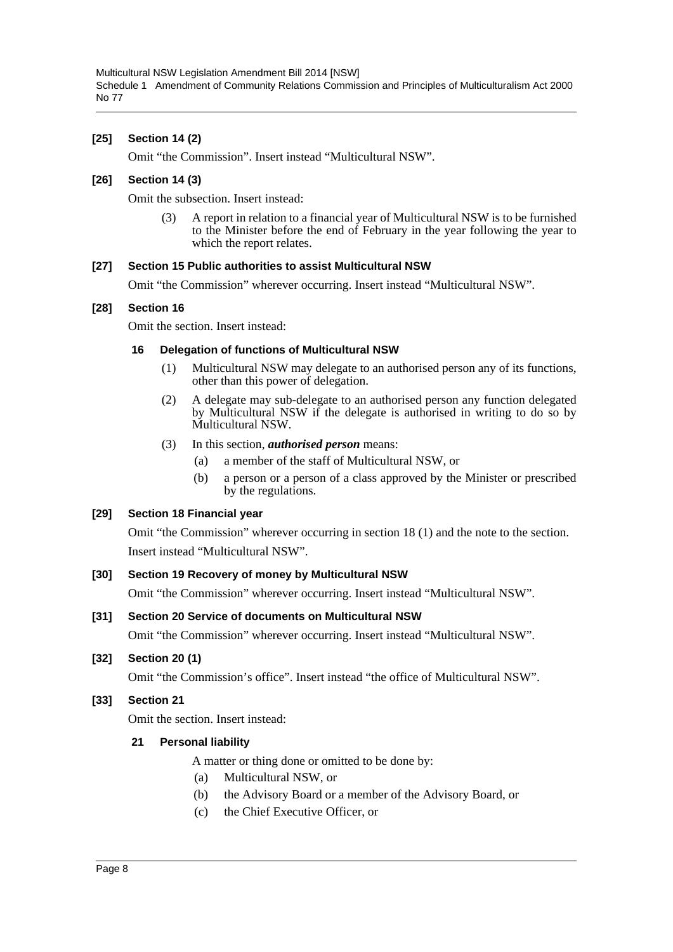Multicultural NSW Legislation Amendment Bill 2014 [NSW] Schedule 1 Amendment of Community Relations Commission and Principles of Multiculturalism Act 2000 No 77

## **[25] Section 14 (2)**

Omit "the Commission". Insert instead "Multicultural NSW".

#### **[26] Section 14 (3)**

Omit the subsection. Insert instead:

(3) A report in relation to a financial year of Multicultural NSW is to be furnished to the Minister before the end of February in the year following the year to which the report relates.

#### **[27] Section 15 Public authorities to assist Multicultural NSW**

Omit "the Commission" wherever occurring. Insert instead "Multicultural NSW".

#### **[28] Section 16**

Omit the section. Insert instead:

#### **16 Delegation of functions of Multicultural NSW**

- (1) Multicultural NSW may delegate to an authorised person any of its functions, other than this power of delegation.
- (2) A delegate may sub-delegate to an authorised person any function delegated by Multicultural NSW if the delegate is authorised in writing to do so by Multicultural NSW.
- (3) In this section, *authorised person* means:
	- (a) a member of the staff of Multicultural NSW, or
	- (b) a person or a person of a class approved by the Minister or prescribed by the regulations.

#### **[29] Section 18 Financial year**

Omit "the Commission" wherever occurring in section 18 (1) and the note to the section. Insert instead "Multicultural NSW".

#### **[30] Section 19 Recovery of money by Multicultural NSW**

Omit "the Commission" wherever occurring. Insert instead "Multicultural NSW".

#### **[31] Section 20 Service of documents on Multicultural NSW**

Omit "the Commission" wherever occurring. Insert instead "Multicultural NSW".

#### **[32] Section 20 (1)**

Omit "the Commission's office". Insert instead "the office of Multicultural NSW".

#### **[33] Section 21**

Omit the section. Insert instead:

#### **21 Personal liability**

A matter or thing done or omitted to be done by:

- (a) Multicultural NSW, or
- (b) the Advisory Board or a member of the Advisory Board, or
- (c) the Chief Executive Officer, or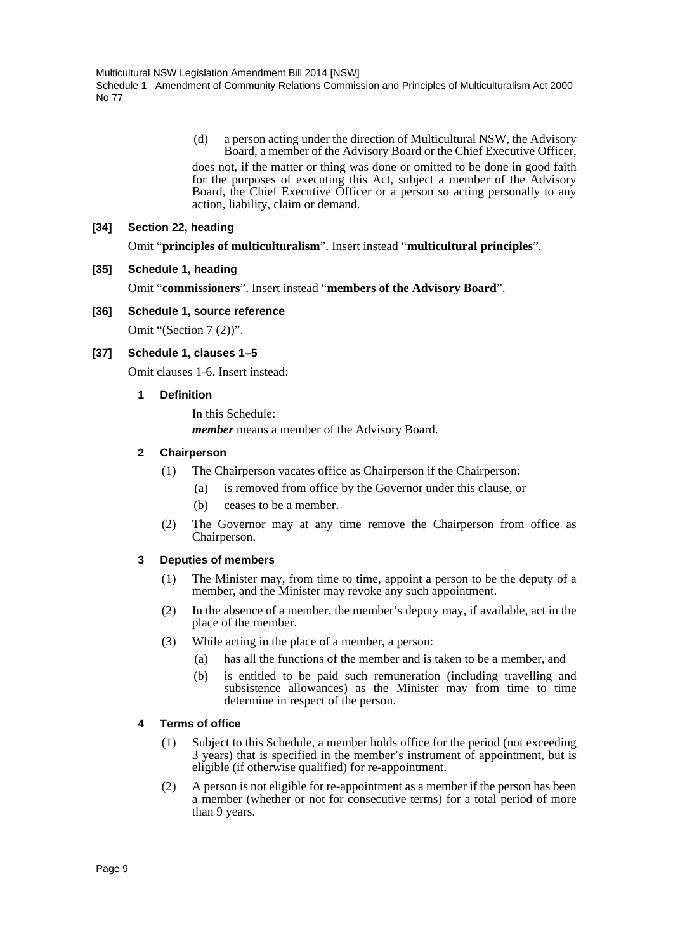(d) a person acting under the direction of Multicultural NSW, the Advisory Board, a member of the Advisory Board or the Chief Executive Officer,

does not, if the matter or thing was done or omitted to be done in good faith for the purposes of executing this Act, subject a member of the Advisory Board, the Chief Executive Officer or a person so acting personally to any action, liability, claim or demand.

#### **[34] Section 22, heading**

Omit "**principles of multiculturalism**". Insert instead "**multicultural principles**".

## **[35] Schedule 1, heading**

Omit "**commissioners**". Insert instead "**members of the Advisory Board**".

## **[36] Schedule 1, source reference**

Omit "(Section 7 (2))".

# **[37] Schedule 1, clauses 1–5**

Omit clauses 1-6. Insert instead:

## **1 Definition**

In this Schedule: *member* means a member of the Advisory Board.

## **2 Chairperson**

- (1) The Chairperson vacates office as Chairperson if the Chairperson:
	- (a) is removed from office by the Governor under this clause, or
	- (b) ceases to be a member.
- (2) The Governor may at any time remove the Chairperson from office as Chairperson.

#### **3 Deputies of members**

- (1) The Minister may, from time to time, appoint a person to be the deputy of a member, and the Minister may revoke any such appointment.
- (2) In the absence of a member, the member's deputy may, if available, act in the place of the member.
- (3) While acting in the place of a member, a person:
	- (a) has all the functions of the member and is taken to be a member, and
	- (b) is entitled to be paid such remuneration (including travelling and subsistence allowances) as the Minister may from time to time determine in respect of the person.

#### **4 Terms of office**

- (1) Subject to this Schedule, a member holds office for the period (not exceeding 3 years) that is specified in the member's instrument of appointment, but is eligible (if otherwise qualified) for re-appointment.
- (2) A person is not eligible for re-appointment as a member if the person has been a member (whether or not for consecutive terms) for a total period of more than 9 years.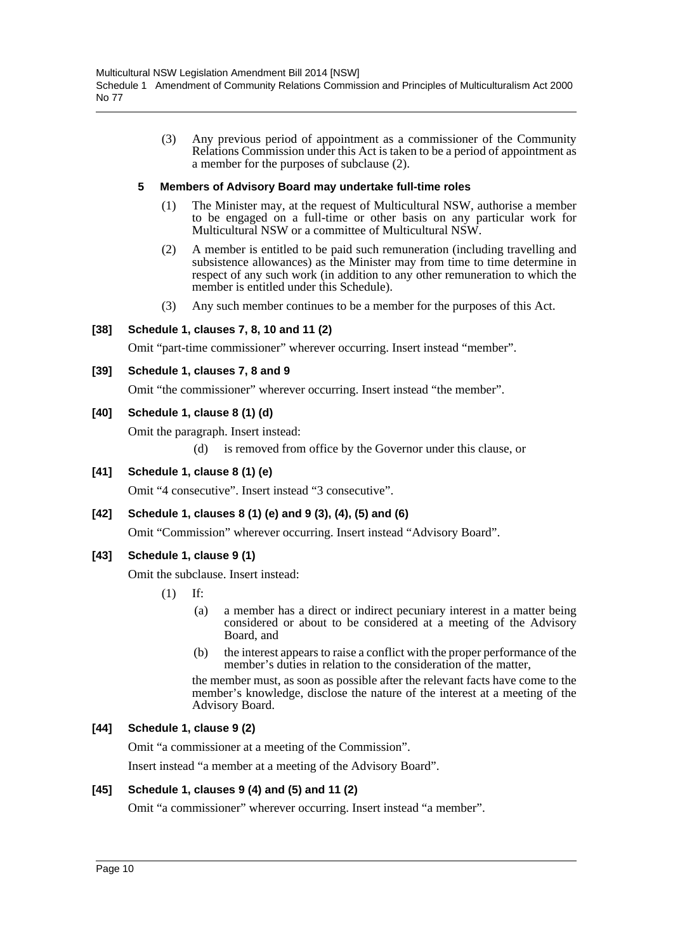(3) Any previous period of appointment as a commissioner of the Community Relations Commission under this Act is taken to be a period of appointment as a member for the purposes of subclause (2).

# **5 Members of Advisory Board may undertake full-time roles**

- (1) The Minister may, at the request of Multicultural NSW, authorise a member to be engaged on a full-time or other basis on any particular work for Multicultural NSW or a committee of Multicultural NSW.
- (2) A member is entitled to be paid such remuneration (including travelling and subsistence allowances) as the Minister may from time to time determine in respect of any such work (in addition to any other remuneration to which the member is entitled under this Schedule).
- (3) Any such member continues to be a member for the purposes of this Act.

## **[38] Schedule 1, clauses 7, 8, 10 and 11 (2)**

Omit "part-time commissioner" wherever occurring. Insert instead "member".

#### **[39] Schedule 1, clauses 7, 8 and 9**

Omit "the commissioner" wherever occurring. Insert instead "the member".

#### **[40] Schedule 1, clause 8 (1) (d)**

Omit the paragraph. Insert instead:

(d) is removed from office by the Governor under this clause, or

#### **[41] Schedule 1, clause 8 (1) (e)**

Omit "4 consecutive". Insert instead "3 consecutive".

# **[42] Schedule 1, clauses 8 (1) (e) and 9 (3), (4), (5) and (6)**

Omit "Commission" wherever occurring. Insert instead "Advisory Board".

#### **[43] Schedule 1, clause 9 (1)**

Omit the subclause. Insert instead:

- (1) If:
	- (a) a member has a direct or indirect pecuniary interest in a matter being considered or about to be considered at a meeting of the Advisory Board, and
	- (b) the interest appears to raise a conflict with the proper performance of the member's duties in relation to the consideration of the matter,

the member must, as soon as possible after the relevant facts have come to the member's knowledge, disclose the nature of the interest at a meeting of the Advisory Board.

#### **[44] Schedule 1, clause 9 (2)**

Omit "a commissioner at a meeting of the Commission".

Insert instead "a member at a meeting of the Advisory Board".

#### **[45] Schedule 1, clauses 9 (4) and (5) and 11 (2)**

Omit "a commissioner" wherever occurring. Insert instead "a member".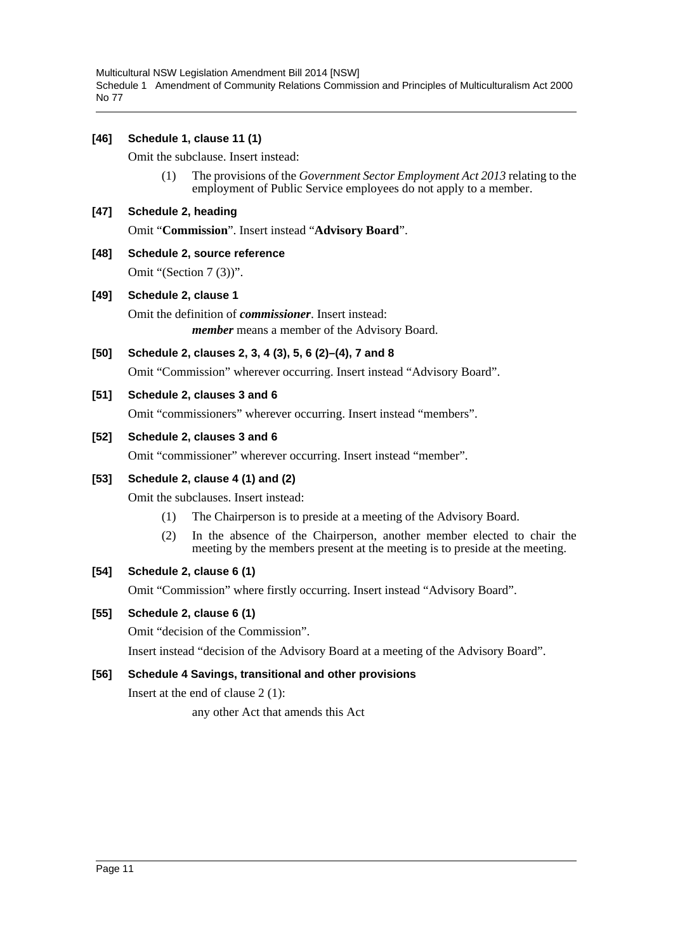Multicultural NSW Legislation Amendment Bill 2014 [NSW] Schedule 1 Amendment of Community Relations Commission and Principles of Multiculturalism Act 2000 No 77

## **[46] Schedule 1, clause 11 (1)**

Omit the subclause. Insert instead:

(1) The provisions of the *Government Sector Employment Act 2013* relating to the employment of Public Service employees do not apply to a member.

#### **[47] Schedule 2, heading**

Omit "**Commission**". Insert instead "**Advisory Board**".

**[48] Schedule 2, source reference** Omit "(Section 7 (3))".

#### **[49] Schedule 2, clause 1**

Omit the definition of *commissioner*. Insert instead: *member* means a member of the Advisory Board.

## **[50] Schedule 2, clauses 2, 3, 4 (3), 5, 6 (2)–(4), 7 and 8**

Omit "Commission" wherever occurring. Insert instead "Advisory Board".

#### **[51] Schedule 2, clauses 3 and 6**

Omit "commissioners" wherever occurring. Insert instead "members".

#### **[52] Schedule 2, clauses 3 and 6**

Omit "commissioner" wherever occurring. Insert instead "member".

#### **[53] Schedule 2, clause 4 (1) and (2)**

Omit the subclauses. Insert instead:

- (1) The Chairperson is to preside at a meeting of the Advisory Board.
- (2) In the absence of the Chairperson, another member elected to chair the meeting by the members present at the meeting is to preside at the meeting.

#### **[54] Schedule 2, clause 6 (1)**

Omit "Commission" where firstly occurring. Insert instead "Advisory Board".

#### **[55] Schedule 2, clause 6 (1)**

Omit "decision of the Commission".

Insert instead "decision of the Advisory Board at a meeting of the Advisory Board".

# **[56] Schedule 4 Savings, transitional and other provisions**

Insert at the end of clause 2 (1):

any other Act that amends this Act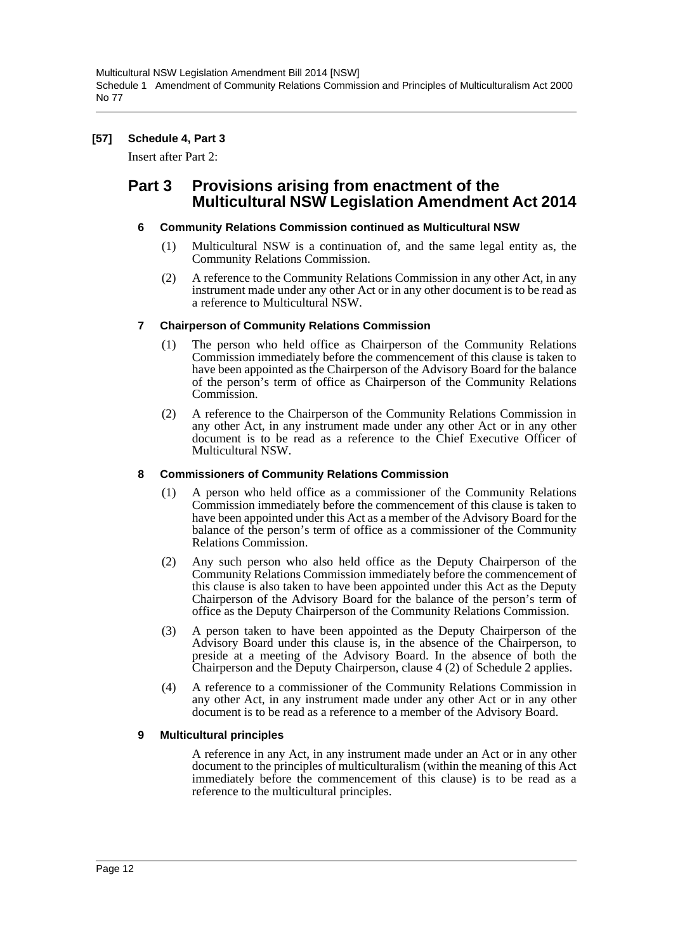# **[57] Schedule 4, Part 3**

Insert after Part 2:

# **Part 3 Provisions arising from enactment of the Multicultural NSW Legislation Amendment Act 2014**

## **6 Community Relations Commission continued as Multicultural NSW**

- (1) Multicultural NSW is a continuation of, and the same legal entity as, the Community Relations Commission.
- (2) A reference to the Community Relations Commission in any other Act, in any instrument made under any other Act or in any other document is to be read as a reference to Multicultural NSW.

## **7 Chairperson of Community Relations Commission**

- (1) The person who held office as Chairperson of the Community Relations Commission immediately before the commencement of this clause is taken to have been appointed as the Chairperson of the Advisory Board for the balance of the person's term of office as Chairperson of the Community Relations Commission.
- (2) A reference to the Chairperson of the Community Relations Commission in any other Act, in any instrument made under any other Act or in any other document is to be read as a reference to the Chief Executive Officer of Multicultural NSW.

## **8 Commissioners of Community Relations Commission**

- (1) A person who held office as a commissioner of the Community Relations Commission immediately before the commencement of this clause is taken to have been appointed under this Act as a member of the Advisory Board for the balance of the person's term of office as a commissioner of the Community Relations Commission.
- (2) Any such person who also held office as the Deputy Chairperson of the Community Relations Commission immediately before the commencement of this clause is also taken to have been appointed under this Act as the Deputy Chairperson of the Advisory Board for the balance of the person's term of office as the Deputy Chairperson of the Community Relations Commission.
- (3) A person taken to have been appointed as the Deputy Chairperson of the Advisory Board under this clause is, in the absence of the Chairperson, to preside at a meeting of the Advisory Board. In the absence of both the Chairperson and the Deputy Chairperson, clause 4 (2) of Schedule 2 applies.
- (4) A reference to a commissioner of the Community Relations Commission in any other Act, in any instrument made under any other Act or in any other document is to be read as a reference to a member of the Advisory Board.

#### **9 Multicultural principles**

A reference in any Act, in any instrument made under an Act or in any other document to the principles of multiculturalism (within the meaning of this Act immediately before the commencement of this clause) is to be read as a reference to the multicultural principles.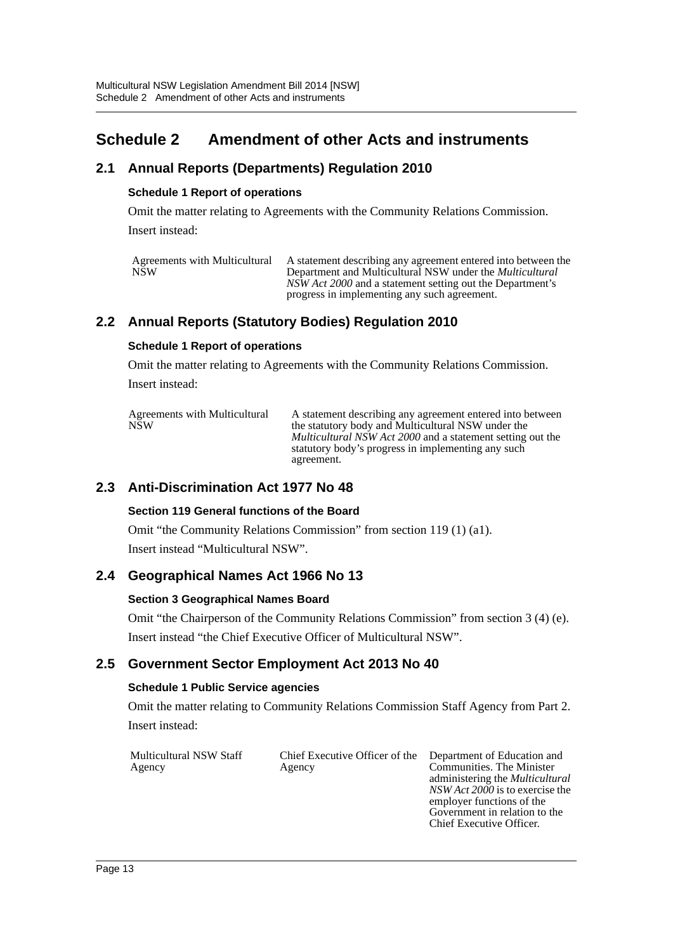# <span id="page-13-0"></span>**Schedule 2 Amendment of other Acts and instruments**

# **2.1 Annual Reports (Departments) Regulation 2010**

# **Schedule 1 Report of operations**

Omit the matter relating to Agreements with the Community Relations Commission. Insert instead:

| Agreements with Multicultural | A statement describing any agreement entered into between the                                             |
|-------------------------------|-----------------------------------------------------------------------------------------------------------|
| <b>NSW</b>                    | Department and Multicultural NSW under the <i>Multicultural</i>                                           |
|                               | NSW Act 2000 and a statement setting out the Department's<br>progress in implementing any such agreement. |

# **2.2 Annual Reports (Statutory Bodies) Regulation 2010**

## **Schedule 1 Report of operations**

Omit the matter relating to Agreements with the Community Relations Commission. Insert instead:

| Agreements with Multicultural<br><b>NSW</b> | A statement describing any agreement entered into between<br>the statutory body and Multicultural NSW under the<br><i>Multicultural NSW Act 2000</i> and a statement setting out the<br>statutory body's progress in implementing any such |
|---------------------------------------------|--------------------------------------------------------------------------------------------------------------------------------------------------------------------------------------------------------------------------------------------|
|                                             | agreement.                                                                                                                                                                                                                                 |

# **2.3 Anti-Discrimination Act 1977 No 48**

# **Section 119 General functions of the Board**

Omit "the Community Relations Commission" from section 119 (1) (a1). Insert instead "Multicultural NSW".

# **2.4 Geographical Names Act 1966 No 13**

#### **Section 3 Geographical Names Board**

Omit "the Chairperson of the Community Relations Commission" from section 3 (4) (e). Insert instead "the Chief Executive Officer of Multicultural NSW".

# **2.5 Government Sector Employment Act 2013 No 40**

# **Schedule 1 Public Service agencies**

Omit the matter relating to Community Relations Commission Staff Agency from Part 2. Insert instead:

| Multicultural NSW Staff | Chief Executive Officer of the Department of Education and |                                        |
|-------------------------|------------------------------------------------------------|----------------------------------------|
| Agency                  | Agency                                                     | Communities. The Minister              |
|                         |                                                            | administering the <i>Multicultural</i> |
|                         |                                                            | NSW Act 2000 is to exercise the        |

employer functions of the Government in relation to the Chief Executive Officer.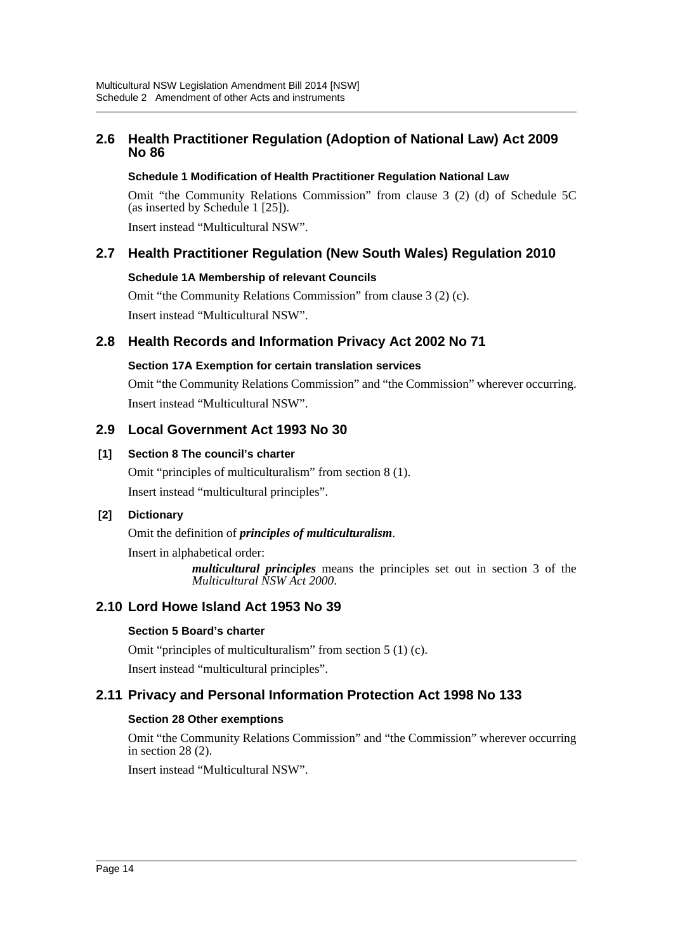# **2.6 Health Practitioner Regulation (Adoption of National Law) Act 2009 No 86**

# **Schedule 1 Modification of Health Practitioner Regulation National Law**

Omit "the Community Relations Commission" from clause 3 (2) (d) of Schedule 5C (as inserted by Schedule 1 [25]).

Insert instead "Multicultural NSW".

# **2.7 Health Practitioner Regulation (New South Wales) Regulation 2010**

# **Schedule 1A Membership of relevant Councils**

Omit "the Community Relations Commission" from clause 3 (2) (c). Insert instead "Multicultural NSW".

# **2.8 Health Records and Information Privacy Act 2002 No 71**

# **Section 17A Exemption for certain translation services**

Omit "the Community Relations Commission" and "the Commission" wherever occurring. Insert instead "Multicultural NSW".

# **2.9 Local Government Act 1993 No 30**

# **[1] Section 8 The council's charter**

Omit "principles of multiculturalism" from section 8 (1). Insert instead "multicultural principles".

# **[2] Dictionary**

Omit the definition of *principles of multiculturalism*.

Insert in alphabetical order:

*multicultural principles* means the principles set out in section 3 of the *Multicultural NSW Act 2000*.

# **2.10 Lord Howe Island Act 1953 No 39**

# **Section 5 Board's charter**

Omit "principles of multiculturalism" from section 5 (1) (c). Insert instead "multicultural principles".

# **2.11 Privacy and Personal Information Protection Act 1998 No 133**

# **Section 28 Other exemptions**

Omit "the Community Relations Commission" and "the Commission" wherever occurring in section 28 (2).

Insert instead "Multicultural NSW".